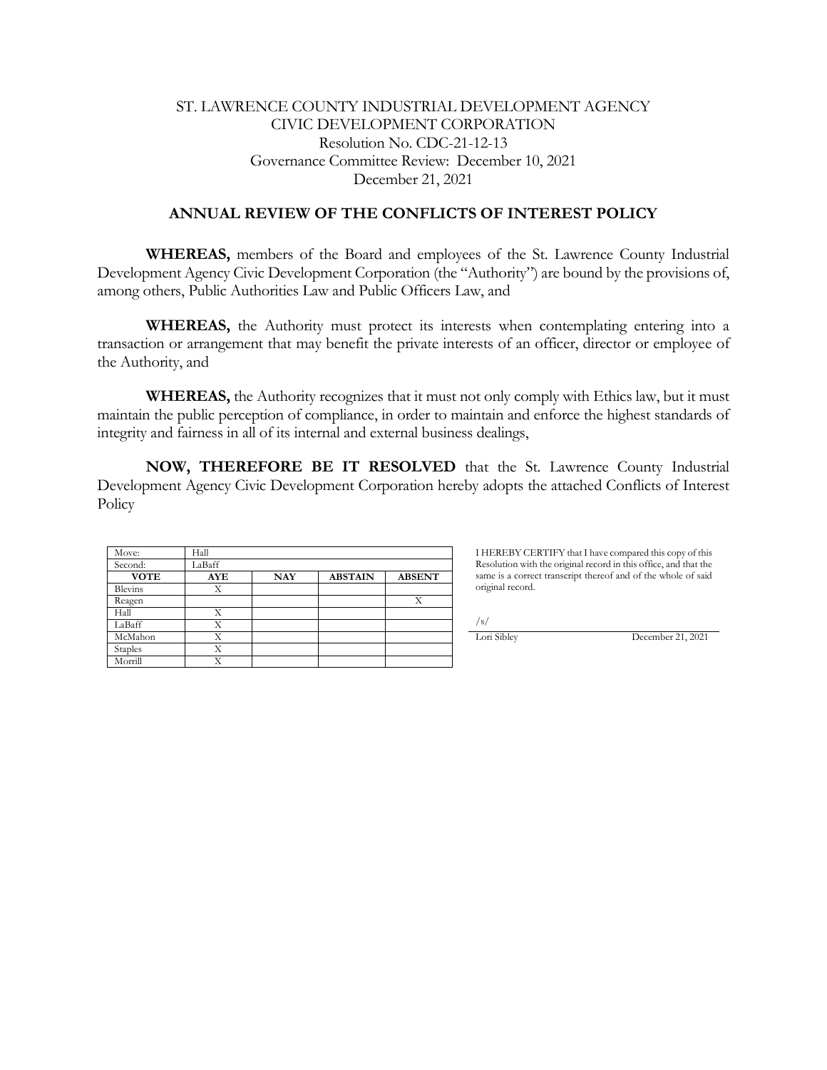# ST. LAWRENCE COUNTY INDUSTRIAL DEVELOPMENT AGENCY CIVIC DEVELOPMENT CORPORATION Resolution No. CDC-21-12-13 Governance Committee Review: December 10, 2021 December 21, 2021

## **ANNUAL REVIEW OF THE CONFLICTS OF INTEREST POLICY**

**WHEREAS,** members of the Board and employees of the St. Lawrence County Industrial Development Agency Civic Development Corporation (the "Authority") are bound by the provisions of, among others, Public Authorities Law and Public Officers Law, and

**WHEREAS,** the Authority must protect its interests when contemplating entering into a transaction or arrangement that may benefit the private interests of an officer, director or employee of the Authority, and

**WHEREAS,** the Authority recognizes that it must not only comply with Ethics law, but it must maintain the public perception of compliance, in order to maintain and enforce the highest standards of integrity and fairness in all of its internal and external business dealings,

**NOW, THEREFORE BE IT RESOLVED** that the St. Lawrence County Industrial Development Agency Civic Development Corporation hereby adopts the attached Conflicts of Interest **Policy** 

| Move:       | Hall       |            |                |               |
|-------------|------------|------------|----------------|---------------|
| Second:     | LaBaff     |            |                |               |
| <b>VOTE</b> | <b>AYE</b> | <b>NAY</b> | <b>ABSTAIN</b> | <b>ABSENT</b> |
| Blevins     | Х          |            |                |               |
| Reagen      |            |            |                | X             |
| Hall        | Х          |            |                |               |
| LaBaff      | Х          |            |                |               |
| McMahon     | Х          |            |                |               |
| Staples     | Χ          |            |                |               |
| Morrill     | Χ          |            |                |               |

I HEREBY CERTIFY that I have compared this copy of this Resolution with the original record in this office, and that the same is a correct transcript thereof and of the whole of said original record.

/s/

**Lori Sibley** December 21, 2021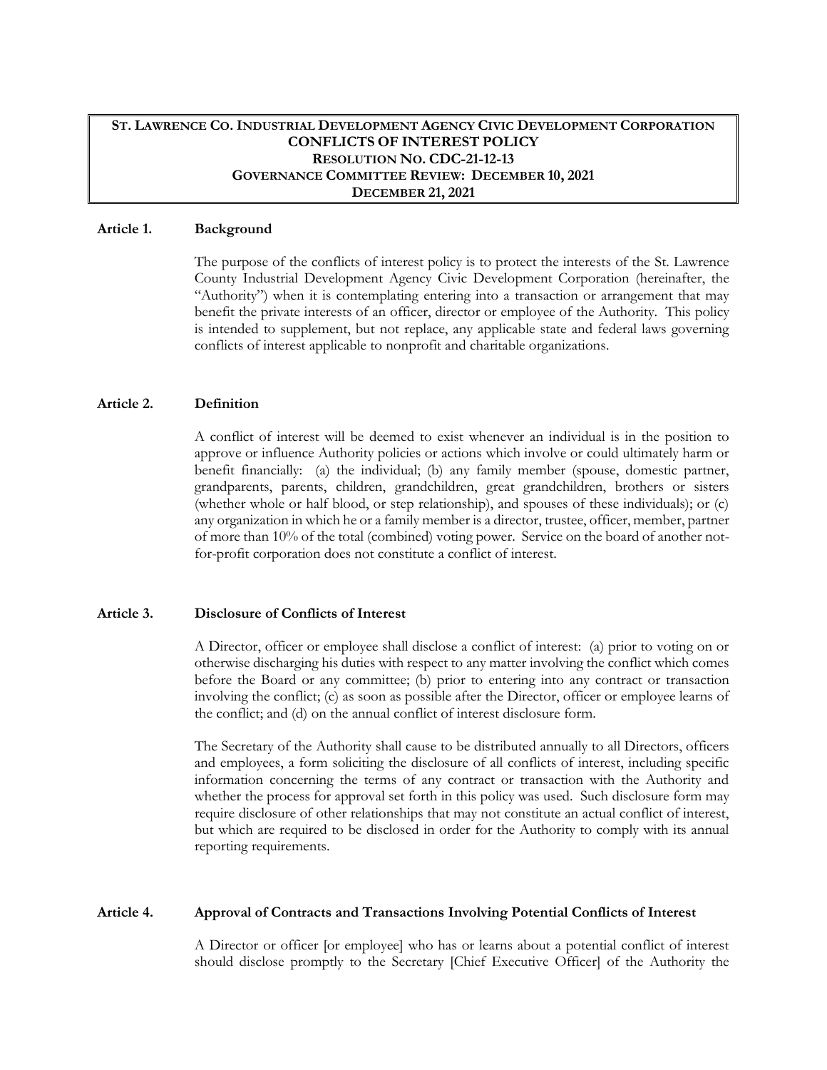## **ST. LAWRENCE CO. INDUSTRIAL DEVELOPMENT AGENCY CIVIC DEVELOPMENT CORPORATION CONFLICTS OF INTEREST POLICY RESOLUTION NO. CDC-21-12-13 GOVERNANCE COMMITTEE REVIEW: DECEMBER 10, 2021 DECEMBER 21, 2021**

#### **Article 1. Background**

The purpose of the conflicts of interest policy is to protect the interests of the St. Lawrence County Industrial Development Agency Civic Development Corporation (hereinafter, the "Authority") when it is contemplating entering into a transaction or arrangement that may benefit the private interests of an officer, director or employee of the Authority. This policy is intended to supplement, but not replace, any applicable state and federal laws governing conflicts of interest applicable to nonprofit and charitable organizations.

### **Article 2. Definition**

A conflict of interest will be deemed to exist whenever an individual is in the position to approve or influence Authority policies or actions which involve or could ultimately harm or benefit financially: (a) the individual; (b) any family member (spouse, domestic partner, grandparents, parents, children, grandchildren, great grandchildren, brothers or sisters (whether whole or half blood, or step relationship), and spouses of these individuals); or (c) any organization in which he or a family member is a director, trustee, officer, member, partner of more than 10% of the total (combined) voting power. Service on the board of another notfor-profit corporation does not constitute a conflict of interest.

#### **Article 3. Disclosure of Conflicts of Interest**

A Director, officer or employee shall disclose a conflict of interest: (a) prior to voting on or otherwise discharging his duties with respect to any matter involving the conflict which comes before the Board or any committee; (b) prior to entering into any contract or transaction involving the conflict; (c) as soon as possible after the Director, officer or employee learns of the conflict; and (d) on the annual conflict of interest disclosure form.

The Secretary of the Authority shall cause to be distributed annually to all Directors, officers and employees, a form soliciting the disclosure of all conflicts of interest, including specific information concerning the terms of any contract or transaction with the Authority and whether the process for approval set forth in this policy was used. Such disclosure form may require disclosure of other relationships that may not constitute an actual conflict of interest, but which are required to be disclosed in order for the Authority to comply with its annual reporting requirements.

#### **Article 4. Approval of Contracts and Transactions Involving Potential Conflicts of Interest**

A Director or officer [or employee] who has or learns about a potential conflict of interest should disclose promptly to the Secretary [Chief Executive Officer] of the Authority the